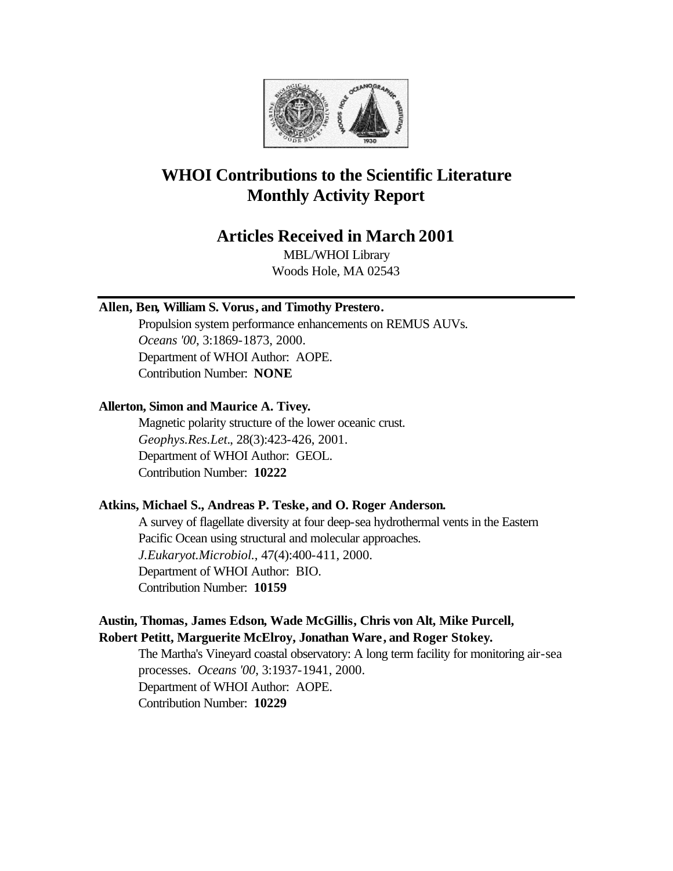

# **WHOI Contributions to the Scientific Literature Monthly Activity Report**

## **Articles Received in March 2001**

MBL/WHOI Library Woods Hole, MA 02543

## **Allen, Ben, William S. Vorus, and Timothy Prestero.**

Propulsion system performance enhancements on REMUS AUVs. *Oceans '00*, 3:1869-1873, 2000. Department of WHOI Author: AOPE. Contribution Number: **NONE**

## **Allerton, Simon and Maurice A. Tivey.**

Magnetic polarity structure of the lower oceanic crust. *Geophys.Res.Let.*, 28(3):423-426, 2001. Department of WHOI Author: GEOL. Contribution Number: **10222**

## **Atkins, Michael S., Andreas P. Teske, and O. Roger Anderson.**

A survey of flagellate diversity at four deep-sea hydrothermal vents in the Eastern Pacific Ocean using structural and molecular approaches. *J.Eukaryot.Microbiol.*, 47(4):400-411, 2000. Department of WHOI Author: BIO. Contribution Number: **10159**

## **Austin, Thomas, James Edson, Wade McGillis, Chris von Alt, Mike Purcell, Robert Petitt, Marguerite McElroy, Jonathan Ware, and Roger Stokey.**

The Martha's Vineyard coastal observatory: A long term facility for monitoring air-sea processes. *Oceans '00*, 3:1937-1941, 2000. Department of WHOI Author: AOPE. Contribution Number: **10229**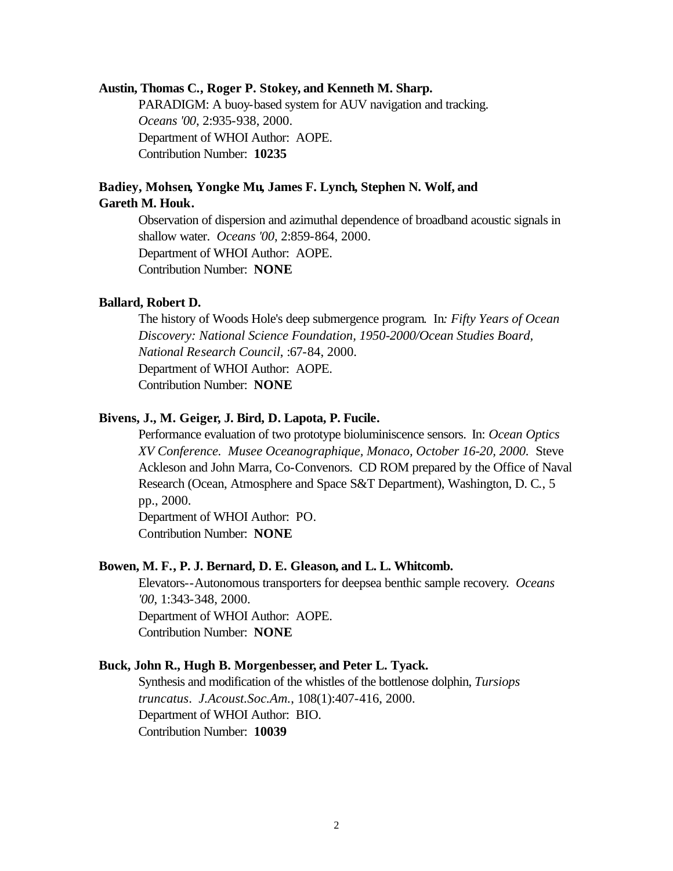#### **Austin, Thomas C., Roger P. Stokey, and Kenneth M. Sharp.**

PARADIGM: A buoy-based system for AUV navigation and tracking. *Oceans '00*, 2:935-938, 2000. Department of WHOI Author: AOPE. Contribution Number: **10235**

## **Badiey, Mohsen, Yongke Mu, James F. Lynch, Stephen N. Wolf, and Gareth M. Houk.**

Observation of dispersion and azimuthal dependence of broadband acoustic signals in shallow water. *Oceans '00*, 2:859-864, 2000. Department of WHOI Author: AOPE. Contribution Number: **NONE**

## **Ballard, Robert D.**

The history of Woods Hole's deep submergence program. In*: Fifty Years of Ocean Discovery: National Science Foundation, 1950-2000/Ocean Studies Board, National Research Council*, :67-84, 2000. Department of WHOI Author: AOPE. Contribution Number: **NONE**

## **Bivens, J., M. Geiger, J. Bird, D. Lapota, P. Fucile.**

Performance evaluation of two prototype bioluminiscence sensors. In: *Ocean Optics XV Conference. Musee Oceanographique, Monaco, October 16-20, 2000.* Steve Ackleson and John Marra, Co-Convenors. CD ROM prepared by the Office of Naval Research (Ocean, Atmosphere and Space S&T Department), Washington, D. C*.*, 5 pp., 2000.

Department of WHOI Author: PO. Contribution Number: **NONE**

#### **Bowen, M. F., P. J. Bernard, D. E. Gleason, and L. L. Whitcomb.**

Elevators--Autonomous transporters for deepsea benthic sample recovery. *Oceans '00*, 1:343-348, 2000. Department of WHOI Author: AOPE. Contribution Number: **NONE**

## **Buck, John R., Hugh B. Morgenbesser, and Peter L. Tyack.**

Synthesis and modification of the whistles of the bottlenose dolphin, *Tursiops truncatus*. *J.Acoust.Soc.Am.*, 108(1):407-416, 2000. Department of WHOI Author: BIO. Contribution Number: **10039**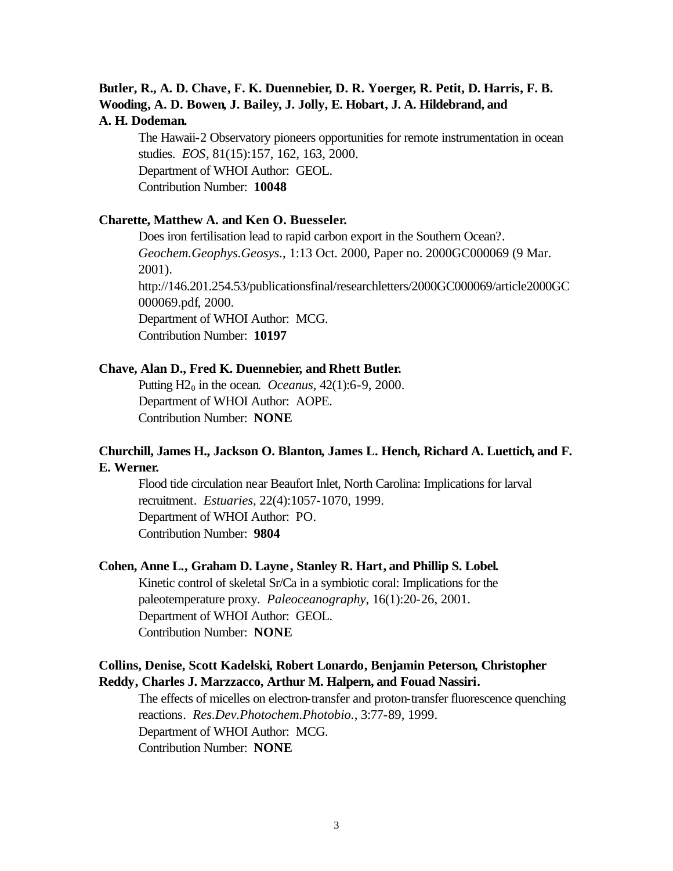## **Butler, R., A. D. Chave, F. K. Duennebier, D. R. Yoerger, R. Petit, D. Harris, F. B. Wooding, A. D. Bowen, J. Bailey, J. Jolly, E. Hobart, J. A. Hildebrand, and A. H. Dodeman.**

The Hawaii-2 Observatory pioneers opportunities for remote instrumentation in ocean studies. *EOS*, 81(15):157, 162, 163, 2000. Department of WHOI Author: GEOL. Contribution Number: **10048**

## **Charette, Matthew A. and Ken O. Buesseler.**

Does iron fertilisation lead to rapid carbon export in the Southern Ocean?. *Geochem.Geophys.Geosys.*, 1:13 Oct. 2000, Paper no. 2000GC000069 (9 Mar. 2001). http://146.201.254.53/publicationsfinal/researchletters/2000GC000069/article2000GC 000069.pdf, 2000. Department of WHOI Author: MCG. Contribution Number: **10197**

## **Chave, Alan D., Fred K. Duennebier, and Rhett Butler.**

Putting H20 in the ocean. *Oceanus*, 42(1):6-9, 2000. Department of WHOI Author: AOPE. Contribution Number: **NONE**

## **Churchill, James H., Jackson O. Blanton, James L. Hench, Richard A. Luettich, and F. E. Werner.**

Flood tide circulation near Beaufort Inlet, North Carolina: Implications for larval recruitment. *Estuaries*, 22(4):1057-1070, 1999. Department of WHOI Author: PO. Contribution Number: **9804**

#### **Cohen, Anne L., Graham D. Layne, Stanley R. Hart, and Phillip S. Lobel.**

Kinetic control of skeletal Sr/Ca in a symbiotic coral: Implications for the paleotemperature proxy. *Paleoceanography*, 16(1):20-26, 2001. Department of WHOI Author: GEOL. Contribution Number: **NONE**

## **Collins, Denise, Scott Kadelski, Robert Lonardo, Benjamin Peterson, Christopher Reddy, Charles J. Marzzacco, Arthur M. Halpern, and Fouad Nassiri.**

The effects of micelles on electron-transfer and proton-transfer fluorescence quenching reactions. *Res.Dev.Photochem.Photobio.*, 3:77-89, 1999. Department of WHOI Author: MCG. Contribution Number: **NONE**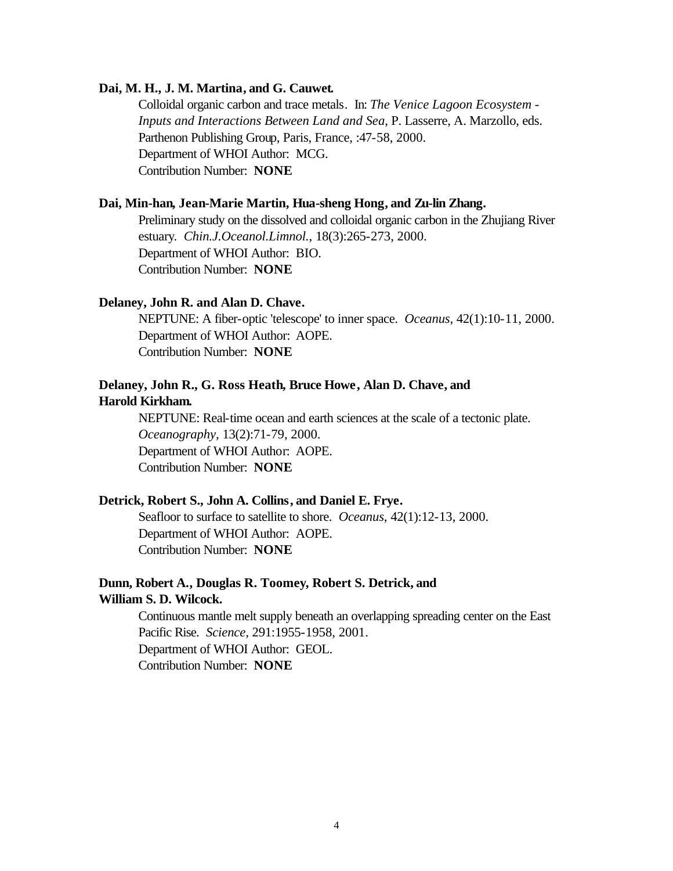## **Dai, M. H., J. M. Martina, and G. Cauwet.**

Colloidal organic carbon and trace metals. In: *The Venice Lagoon Ecosystem - Inputs and Interactions Between Land and Sea*, P. Lasserre, A. Marzollo, eds. Parthenon Publishing Group, Paris, France, :47-58, 2000. Department of WHOI Author: MCG. Contribution Number: **NONE**

## **Dai, Min-han, Jean-Marie Martin, Hua-sheng Hong, and Zu-lin Zhang.**

Preliminary study on the dissolved and colloidal organic carbon in the Zhujiang River estuary. *Chin.J.Oceanol.Limnol.*, 18(3):265-273, 2000. Department of WHOI Author: BIO. Contribution Number: **NONE**

## **Delaney, John R. and Alan D. Chave.**

NEPTUNE: A fiber-optic 'telescope' to inner space. *Oceanus*, 42(1):10-11, 2000. Department of WHOI Author: AOPE. Contribution Number: **NONE**

## **Delaney, John R., G. Ross Heath, Bruce Howe, Alan D. Chave, and Harold Kirkham.**

NEPTUNE: Real-time ocean and earth sciences at the scale of a tectonic plate. *Oceanography*, 13(2):71-79, 2000. Department of WHOI Author: AOPE. Contribution Number: **NONE**

#### **Detrick, Robert S., John A. Collins, and Daniel E. Frye.**

Seafloor to surface to satellite to shore. *Oceanus*, 42(1):12-13, 2000. Department of WHOI Author: AOPE. Contribution Number: **NONE**

## **Dunn, Robert A., Douglas R. Toomey, Robert S. Detrick, and William S. D. Wilcock.**

Continuous mantle melt supply beneath an overlapping spreading center on the East Pacific Rise. *Science*, 291:1955-1958, 2001. Department of WHOI Author: GEOL. Contribution Number: **NONE**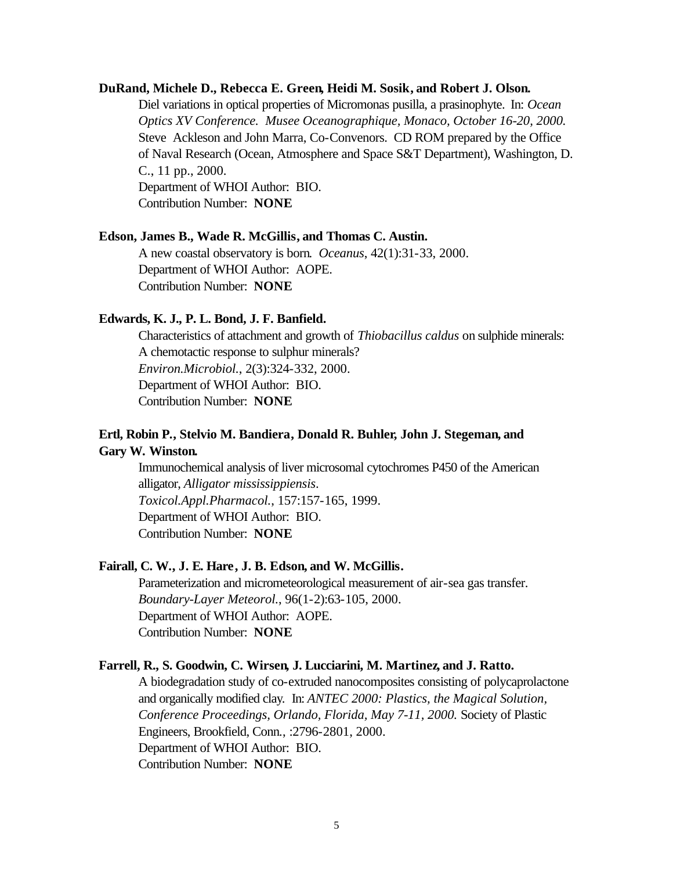## **DuRand, Michele D., Rebecca E. Green, Heidi M. Sosik, and Robert J. Olson.**

Diel variations in optical properties of Micromonas pusilla, a prasinophyte. In: *Ocean Optics XV Conference. Musee Oceanographique, Monaco, October 16-20, 2000.* Steve Ackleson and John Marra, Co-Convenors. CD ROM prepared by the Office of Naval Research (Ocean, Atmosphere and Space S&T Department), Washington, D. C*.*, 11 pp., 2000. Department of WHOI Author: BIO.

Contribution Number: **NONE**

## **Edson, James B., Wade R. McGillis, and Thomas C. Austin.**

A new coastal observatory is born. *Oceanus*, 42(1):31-33, 2000. Department of WHOI Author: AOPE. Contribution Number: **NONE**

#### **Edwards, K. J., P. L. Bond, J. F. Banfield.**

Characteristics of attachment and growth of *Thiobacillus caldus* on sulphide minerals: A chemotactic response to sulphur minerals? *Environ.Microbiol.*, 2(3):324-332, 2000. Department of WHOI Author: BIO. Contribution Number: **NONE**

## **Ertl, Robin P., Stelvio M. Bandiera, Donald R. Buhler, John J. Stegeman, and Gary W. Winston.**

Immunochemical analysis of liver microsomal cytochromes P450 of the American alligator, *Alligator mississippiensis*. *Toxicol.Appl.Pharmacol.*, 157:157-165, 1999. Department of WHOI Author: BIO. Contribution Number: **NONE**

#### **Fairall, C. W., J. E. Hare, J. B. Edson, and W. McGillis.**

Parameterization and micrometeorological measurement of air-sea gas transfer. *Boundary-Layer Meteorol.*, 96(1-2):63-105, 2000. Department of WHOI Author: AOPE. Contribution Number: **NONE**

## **Farrell, R., S. Goodwin, C. Wirsen, J. Lucciarini, M. Martinez, and J. Ratto.**

A biodegradation study of co-extruded nanocomposites consisting of polycaprolactone and organically modified clay. In: *ANTEC 2000: Plastics, the Magical Solution, Conference Proceedings, Orlando, Florida, May 7-11, 2000.* Society of Plastic Engineers, Brookfield, Conn*.*, :2796-2801, 2000. Department of WHOI Author: BIO. Contribution Number: **NONE**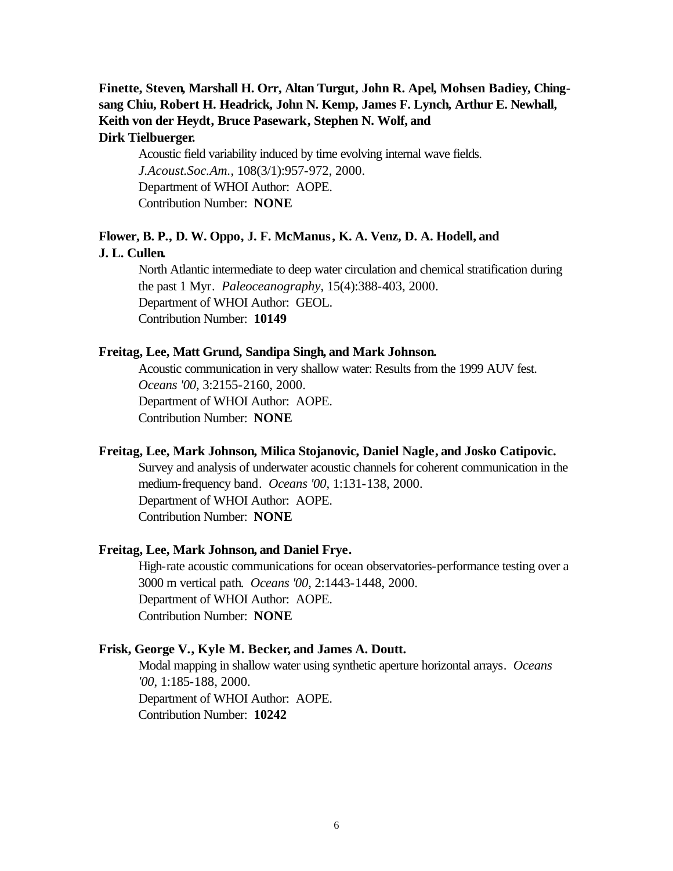## **Finette, Steven, Marshall H. Orr, Altan Turgut, John R. Apel, Mohsen Badiey, Chingsang Chiu, Robert H. Headrick, John N. Kemp, James F. Lynch, Arthur E. Newhall, Keith von der Heydt, Bruce Pasewark, Stephen N. Wolf, and Dirk Tielbuerger.**

Acoustic field variability induced by time evolving internal wave fields. *J.Acoust.Soc.Am.*, 108(3/1):957-972, 2000. Department of WHOI Author: AOPE. Contribution Number: **NONE**

# **Flower, B. P., D. W. Oppo, J. F. McManus, K. A. Venz, D. A. Hodell, and**

## **J. L. Cullen.**

North Atlantic intermediate to deep water circulation and chemical stratification during the past 1 Myr. *Paleoceanography*, 15(4):388-403, 2000. Department of WHOI Author: GEOL. Contribution Number: **10149**

## **Freitag, Lee, Matt Grund, Sandipa Singh, and Mark Johnson.**

Acoustic communication in very shallow water: Results from the 1999 AUV fest. *Oceans '00*, 3:2155-2160, 2000. Department of WHOI Author: AOPE. Contribution Number: **NONE**

## **Freitag, Lee, Mark Johnson, Milica Stojanovic, Daniel Nagle, and Josko Catipovic.**

Survey and analysis of underwater acoustic channels for coherent communication in the medium-frequency band. *Oceans '00*, 1:131-138, 2000. Department of WHOI Author: AOPE. Contribution Number: **NONE**

## **Freitag, Lee, Mark Johnson, and Daniel Frye.**

High-rate acoustic communications for ocean observatories-performance testing over a 3000 m vertical path. *Oceans '00*, 2:1443-1448, 2000. Department of WHOI Author: AOPE. Contribution Number: **NONE**

#### **Frisk, George V., Kyle M. Becker, and James A. Doutt.**

Modal mapping in shallow water using synthetic aperture horizontal arrays. *Oceans '00*, 1:185-188, 2000. Department of WHOI Author: AOPE. Contribution Number: **10242**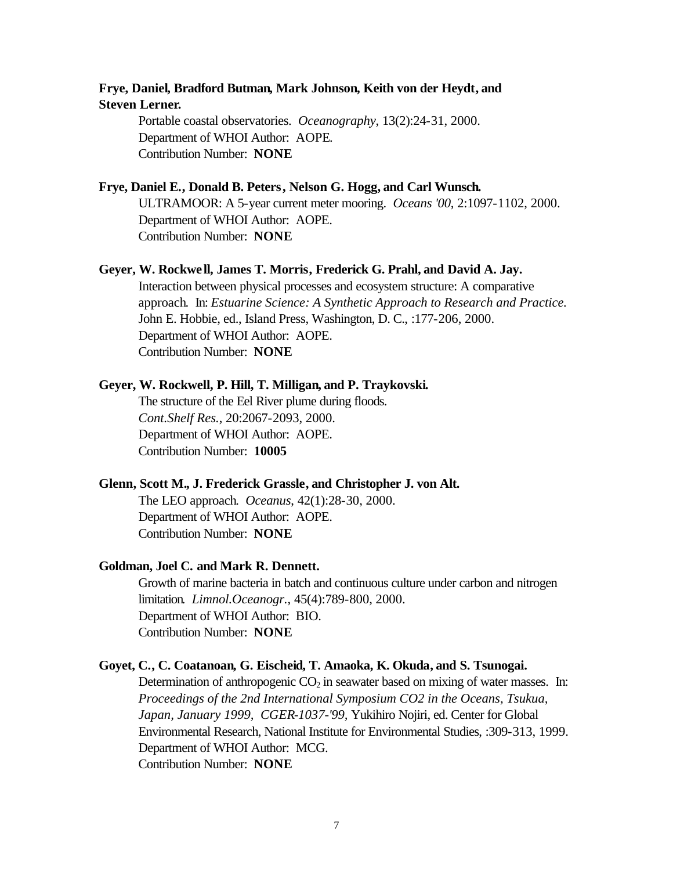## **Frye, Daniel, Bradford Butman, Mark Johnson, Keith von der Heydt, and Steven Lerner.**

Portable coastal observatories. *Oceanography*, 13(2):24-31, 2000. Department of WHOI Author: AOPE. Contribution Number: **NONE**

## **Frye, Daniel E., Donald B. Peters, Nelson G. Hogg, and Carl Wunsch.**

ULTRAMOOR: A 5-year current meter mooring. *Oceans '00*, 2:1097-1102, 2000. Department of WHOI Author: AOPE. Contribution Number: **NONE**

#### **Geyer, W. Rockwe ll, James T. Morris, Frederick G. Prahl, and David A. Jay.**

Interaction between physical processes and ecosystem structure: A comparative approach. In: *Estuarine Science: A Synthetic Approach to Research and Practice.*  John E. Hobbie, ed., Island Press, Washington, D. C., :177-206, 2000. Department of WHOI Author: AOPE. Contribution Number: **NONE**

## **Geyer, W. Rockwell, P. Hill, T. Milligan, and P. Traykovski.**

The structure of the Eel River plume during floods. *Cont.Shelf Res.*, 20:2067-2093, 2000. Department of WHOI Author: AOPE. Contribution Number: **10005**

#### **Glenn, Scott M., J. Frederick Grassle, and Christopher J. von Alt.**

The LEO approach. *Oceanus*, 42(1):28-30, 2000. Department of WHOI Author: AOPE. Contribution Number: **NONE**

#### **Goldman, Joel C. and Mark R. Dennett.**

Growth of marine bacteria in batch and continuous culture under carbon and nitrogen limitation. *Limnol.Oceanogr.*, 45(4):789-800, 2000. Department of WHOI Author: BIO. Contribution Number: **NONE**

## **Goyet, C., C. Coatanoan, G. Eischeid, T. Amaoka, K. Okuda, and S. Tsunogai.**

Determination of anthropogenic  $CO<sub>2</sub>$  in seawater based on mixing of water masses. In: *Proceedings of the 2nd International Symposium CO2 in the Oceans, Tsukua, Japan, January 1999, CGER-1037-'99,* Yukihiro Nojiri, ed. Center for Global Environmental Research, National Institute for Environmental Studies, :309-313, 1999. Department of WHOI Author: MCG. Contribution Number: **NONE**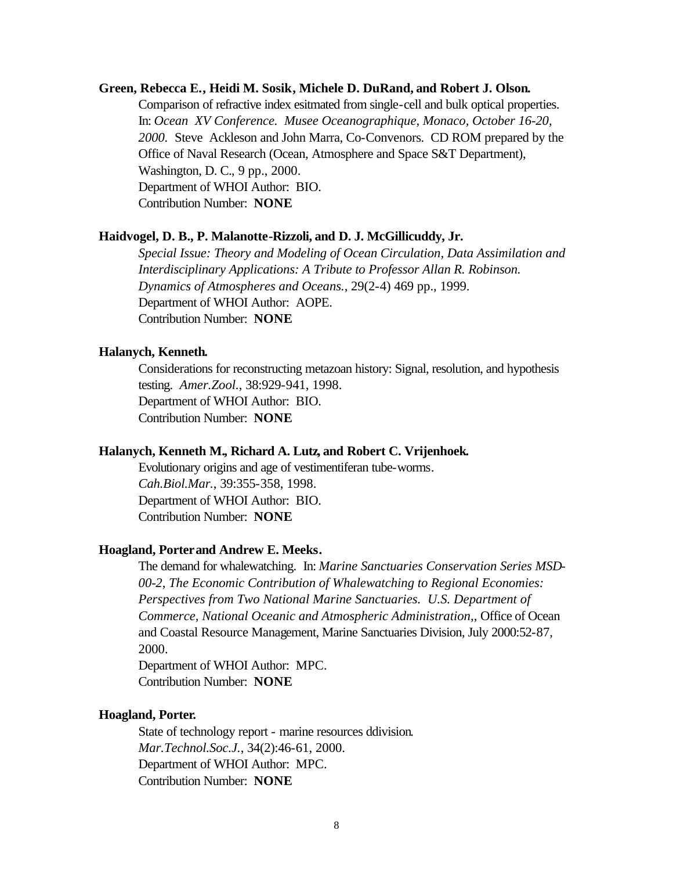## **Green, Rebecca E., Heidi M. Sosik, Michele D. DuRand, and Robert J. Olson.**

Comparison of refractive index esitmated from single-cell and bulk optical properties. In: *Ocean XV Conference. Musee Oceanographique, Monaco, October 16-20, 2000.* Steve Ackleson and John Marra, Co-Convenors. CD ROM prepared by the Office of Naval Research (Ocean, Atmosphere and Space S&T Department), Washington, D. C., 9 pp., 2000. Department of WHOI Author: BIO. Contribution Number: **NONE**

## **Haidvogel, D. B., P. Malanotte-Rizzoli, and D. J. McGillicuddy, Jr.**

*Special Issue: Theory and Modeling of Ocean Circulation, Data Assimilation and Interdisciplinary Applications: A Tribute to Professor Allan R. Robinson. Dynamics of Atmospheres and Oceans.*, 29(2-4) 469 pp., 1999. Department of WHOI Author: AOPE. Contribution Number: **NONE**

## **Halanych, Kenneth.**

Considerations for reconstructing metazoan history: Signal, resolution, and hypothesis testing. *Amer.Zool.*, 38:929-941, 1998. Department of WHOI Author: BIO. Contribution Number: **NONE**

## **Halanych, Kenneth M., Richard A. Lutz, and Robert C. Vrijenhoek.**

Evolutionary origins and age of vestimentiferan tube-worms. *Cah.Biol.Mar.*, 39:355-358, 1998. Department of WHOI Author: BIO. Contribution Number: **NONE**

## **Hoagland, Porter and Andrew E. Meeks.**

The demand for whalewatching. In: *Marine Sanctuaries Conservation Series MSD-00-2, The Economic Contribution of Whalewatching to Regional Economies: Perspectives from Two National Marine Sanctuaries. U.S. Department of Commerce, National Oceanic and Atmospheric Administration,*, Office of Ocean and Coastal Resource Management, Marine Sanctuaries Division, July 2000:52-87, 2000.

Department of WHOI Author: MPC. Contribution Number: **NONE**

## **Hoagland, Porter.**

State of technology report - marine resources ddivision. *Mar.Technol.Soc.J.*, 34(2):46-61, 2000. Department of WHOI Author: MPC. Contribution Number: **NONE**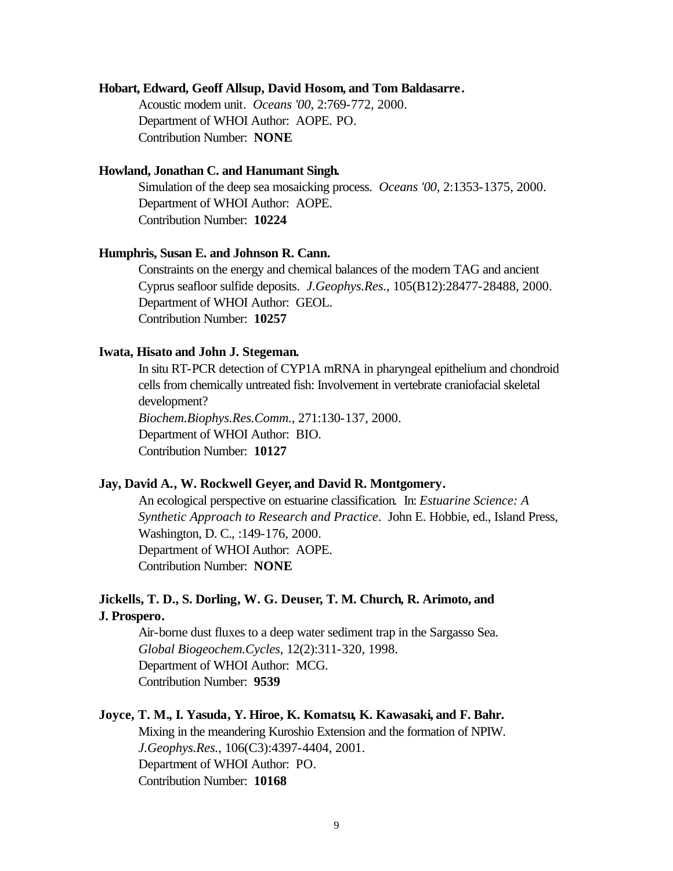#### **Hobart, Edward, Geoff Allsup, David Hosom, and Tom Baldasarre.**

Acoustic modem unit. *Oceans '00*, 2:769-772, 2000. Department of WHOI Author: AOPE. PO. Contribution Number: **NONE**

## **Howland, Jonathan C. and Hanumant Singh.**

Simulation of the deep sea mosaicking process. *Oceans '00*, 2:1353-1375, 2000. Department of WHOI Author: AOPE. Contribution Number: **10224**

## **Humphris, Susan E. and Johnson R. Cann.**

Constraints on the energy and chemical balances of the modern TAG and ancient Cyprus seafloor sulfide deposits. *J.Geophys.Res.*, 105(B12):28477-28488, 2000. Department of WHOI Author: GEOL. Contribution Number: **10257**

## **Iwata, Hisato and John J. Stegeman.**

In situ RT-PCR detection of CYP1A mRNA in pharyngeal epithelium and chondroid cells from chemically untreated fish: Involvement in vertebrate craniofacial skeletal development? *Biochem.Biophys.Res.Comm.*, 271:130-137, 2000. Department of WHOI Author: BIO. Contribution Number: **10127**

## **Jay, David A., W. Rockwell Geyer, and David R. Montgomery.**

An ecological perspective on estuarine classification. In: *Estuarine Science: A Synthetic Approach to Research and Practice*. John E. Hobbie, ed., Island Press, Washington, D. C., :149-176, 2000. Department of WHOI Author: AOPE. Contribution Number: **NONE**

## **Jickells, T. D., S. Dorling, W. G. Deuser, T. M. Church, R. Arimoto, and J. Prospero.**

Air-borne dust fluxes to a deep water sediment trap in the Sargasso Sea. *Global Biogeochem.Cycles*, 12(2):311-320, 1998. Department of WHOI Author: MCG. Contribution Number: **9539**

## **Joyce, T. M., I. Yasuda, Y. Hiroe, K. Komatsu, K. Kawasaki, and F. Bahr.**

Mixing in the meandering Kuroshio Extension and the formation of NPIW. *J.Geophys.Res.*, 106(C3):4397-4404, 2001. Department of WHOI Author: PO. Contribution Number: **10168**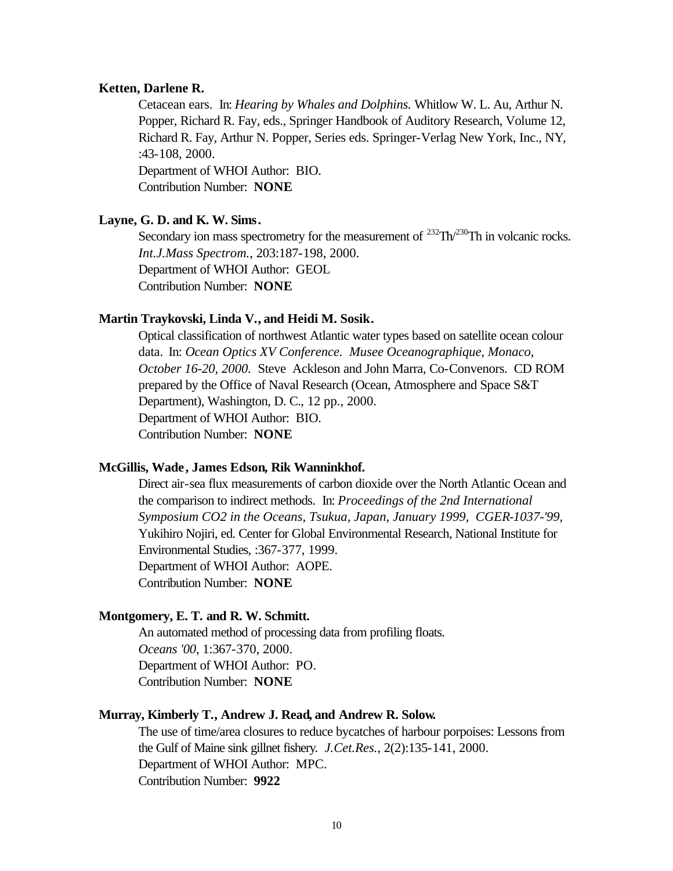#### **Ketten, Darlene R.**

Cetacean ears. In: *Hearing by Whales and Dolphins.* Whitlow W. L. Au, Arthur N. Popper, Richard R. Fay, eds., Springer Handbook of Auditory Research, Volume 12, Richard R. Fay, Arthur N. Popper, Series eds. Springer-Verlag New York, Inc., NY, :43-108, 2000. Department of WHOI Author: BIO.

Contribution Number: **NONE**

## **Layne, G. D. and K. W. Sims.**

Secondary ion mass spectrometry for the measurement of  $^{232}Th^{230}Th$  in volcanic rocks. *Int.J.Mass Spectrom.*, 203:187-198, 2000. Department of WHOI Author: GEOL Contribution Number: **NONE**

#### **Martin Traykovski, Linda V., and Heidi M. Sosik.**

Optical classification of northwest Atlantic water types based on satellite ocean colour data. In: *Ocean Optics XV Conference. Musee Oceanographique, Monaco, October 16-20, 2000.* Steve Ackleson and John Marra, Co-Convenors. CD ROM prepared by the Office of Naval Research (Ocean, Atmosphere and Space S&T Department), Washington, D. C., 12 pp., 2000. Department of WHOI Author: BIO. Contribution Number: **NONE**

#### **McGillis, Wade, James Edson, Rik Wanninkhof.**

Direct air-sea flux measurements of carbon dioxide over the North Atlantic Ocean and the comparison to indirect methods. In: *Proceedings of the 2nd International Symposium CO2 in the Oceans, Tsukua, Japan, January 1999, CGER-1037-'99,*  Yukihiro Nojiri, ed. Center for Global Environmental Research, National Institute for Environmental Studies, :367-377, 1999. Department of WHOI Author: AOPE. Contribution Number: **NONE**

## **Montgomery, E. T. and R. W. Schmitt.**

An automated method of processing data from profiling floats. *Oceans '00*, 1:367-370, 2000. Department of WHOI Author: PO. Contribution Number: **NONE**

## **Murray, Kimberly T., Andrew J. Read, and Andrew R. Solow.**

The use of time/area closures to reduce bycatches of harbour porpoises: Lessons from the Gulf of Maine sink gillnet fishery. *J.Cet.Res.*, 2(2):135-141, 2000. Department of WHOI Author: MPC. Contribution Number: **9922**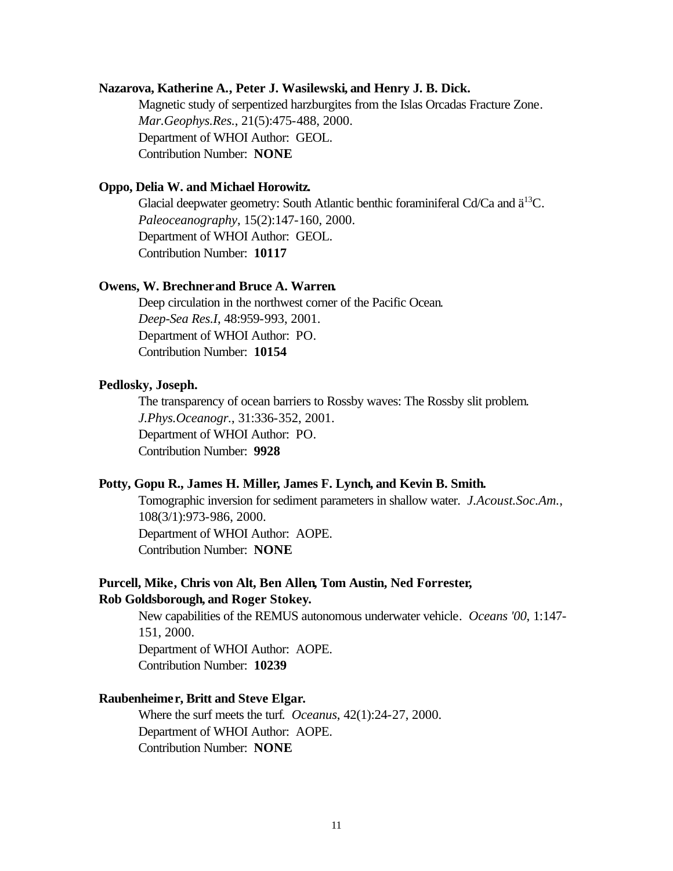## **Nazarova, Katherine A., Peter J. Wasilewski, and Henry J. B. Dick.**

Magnetic study of serpentized harzburgites from the Islas Orcadas Fracture Zone. *Mar.Geophys.Res.*, 21(5):475-488, 2000. Department of WHOI Author: GEOL. Contribution Number: **NONE**

## **Oppo, Delia W. and Michael Horowitz.**

Glacial deepwater geometry: South Atlantic benthic foraminiferal Cd/Ca and  $\ddot{a}^{13}C$ . *Paleoceanography*, 15(2):147-160, 2000. Department of WHOI Author: GEOL. Contribution Number: **10117**

## **Owens, W. Brechner and Bruce A. Warren.**

Deep circulation in the northwest corner of the Pacific Ocean. *Deep-Sea Res.I*, 48:959-993, 2001. Department of WHOI Author: PO. Contribution Number: **10154**

## **Pedlosky, Joseph.**

The transparency of ocean barriers to Rossby waves: The Rossby slit problem. *J.Phys.Oceanogr.*, 31:336-352, 2001. Department of WHOI Author: PO. Contribution Number: **9928**

## **Potty, Gopu R., James H. Miller, James F. Lynch, and Kevin B. Smith.**

Tomographic inversion for sediment parameters in shallow water. *J.Acoust.Soc.Am.*, 108(3/1):973-986, 2000. Department of WHOI Author: AOPE. Contribution Number: **NONE**

## **Purcell, Mike, Chris von Alt, Ben Allen, Tom Austin, Ned Forrester, Rob Goldsborough, and Roger Stokey.**

New capabilities of the REMUS autonomous underwater vehicle. *Oceans '00*, 1:147- 151, 2000. Department of WHOI Author: AOPE. Contribution Number: **10239**

## **Raubenheimer, Britt and Steve Elgar.**

Where the surf meets the turf. *Oceanus*, 42(1):24-27, 2000. Department of WHOI Author: AOPE. Contribution Number: **NONE**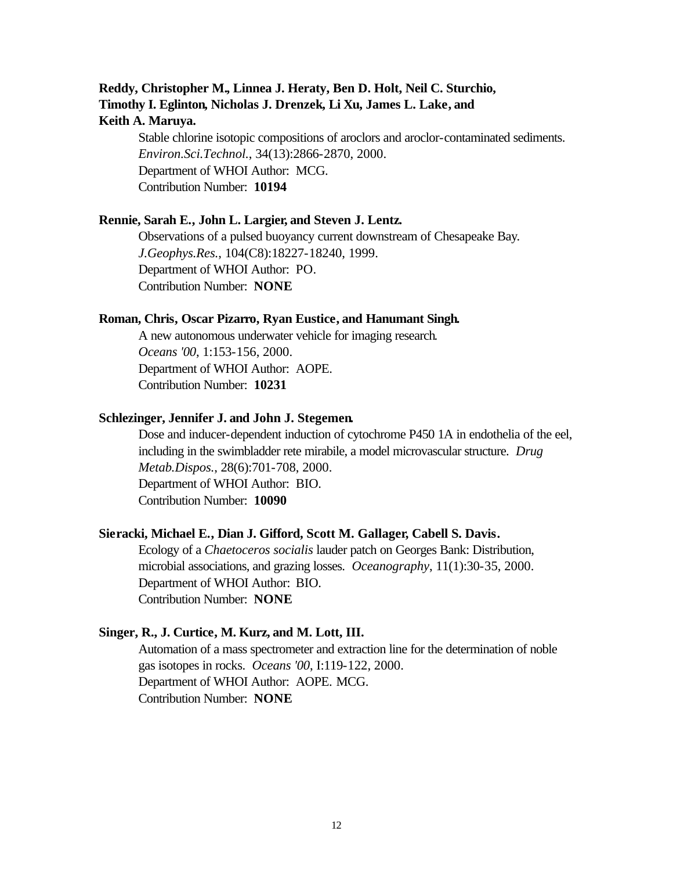## **Reddy, Christopher M., Linnea J. Heraty, Ben D. Holt, Neil C. Sturchio, Timothy I. Eglinton, Nicholas J. Drenzek, Li Xu, James L. Lake, and Keith A. Maruya.**

Stable chlorine isotopic compositions of aroclors and aroclor-contaminated sediments. *Environ.Sci.Technol.*, 34(13):2866-2870, 2000. Department of WHOI Author: MCG. Contribution Number: **10194**

## **Rennie, Sarah E., John L. Largier, and Steven J. Lentz.**

Observations of a pulsed buoyancy current downstream of Chesapeake Bay. *J.Geophys.Res.*, 104(C8):18227-18240, 1999. Department of WHOI Author: PO. Contribution Number: **NONE**

#### **Roman, Chris, Oscar Pizarro, Ryan Eustice, and Hanumant Singh.**

A new autonomous underwater vehicle for imaging research. *Oceans '00*, 1:153-156, 2000. Department of WHOI Author: AOPE. Contribution Number: **10231**

## **Schlezinger, Jennifer J. and John J. Stegemen.**

Dose and inducer-dependent induction of cytochrome P450 1A in endothelia of the eel, including in the swimbladder rete mirabile, a model microvascular structure. *Drug Metab.Dispos.*, 28(6):701-708, 2000. Department of WHOI Author: BIO. Contribution Number: **10090**

## **Sieracki, Michael E., Dian J. Gifford, Scott M. Gallager, Cabell S. Davis.**

Ecology of a *Chaetoceros socialis* lauder patch on Georges Bank: Distribution, microbial associations, and grazing losses. *Oceanography*, 11(1):30-35, 2000. Department of WHOI Author: BIO. Contribution Number: **NONE**

## **Singer, R., J. Curtice, M. Kurz, and M. Lott, III.**

Automation of a mass spectrometer and extraction line for the determination of noble gas isotopes in rocks. *Oceans '00*, I:119-122, 2000. Department of WHOI Author: AOPE. MCG. Contribution Number: **NONE**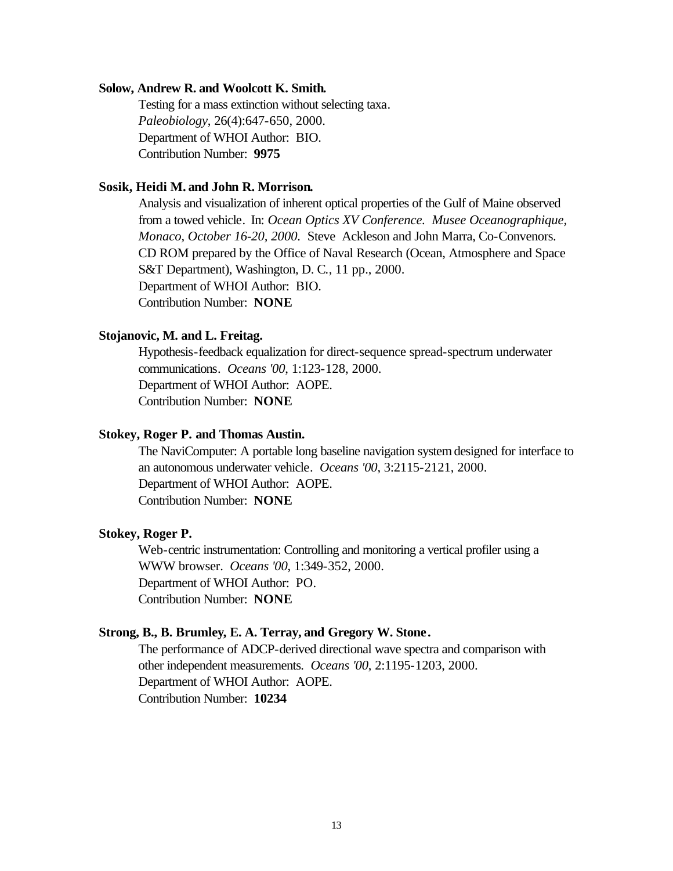#### **Solow, Andrew R. and Woolcott K. Smith.**

Testing for a mass extinction without selecting taxa. *Paleobiology*, 26(4):647-650, 2000. Department of WHOI Author: BIO. Contribution Number: **9975**

## **Sosik, Heidi M. and John R. Morrison.**

Analysis and visualization of inherent optical properties of the Gulf of Maine observed from a towed vehicle. In: *Ocean Optics XV Conference. Musee Oceanographique, Monaco, October 16-20, 2000.* Steve Ackleson and John Marra, Co-Convenors. CD ROM prepared by the Office of Naval Research (Ocean, Atmosphere and Space S&T Department), Washington, D. C*.*, 11 pp., 2000. Department of WHOI Author: BIO. Contribution Number: **NONE**

## **Stojanovic, M. and L. Freitag.**

Hypothesis-feedback equalization for direct-sequence spread-spectrum underwater communications. *Oceans '00*, 1:123-128, 2000. Department of WHOI Author: AOPE. Contribution Number: **NONE**

## **Stokey, Roger P. and Thomas Austin.**

The NaviComputer: A portable long baseline navigation system designed for interface to an autonomous underwater vehicle. *Oceans '00*, 3:2115-2121, 2000. Department of WHOI Author: AOPE. Contribution Number: **NONE**

## **Stokey, Roger P.**

Web-centric instrumentation: Controlling and monitoring a vertical profiler using a WWW browser. *Oceans '00*, 1:349-352, 2000. Department of WHOI Author: PO. Contribution Number: **NONE**

#### **Strong, B., B. Brumley, E. A. Terray, and Gregory W. Stone.**

The performance of ADCP-derived directional wave spectra and comparison with other independent measurements. *Oceans '00*, 2:1195-1203, 2000. Department of WHOI Author: AOPE. Contribution Number: **10234**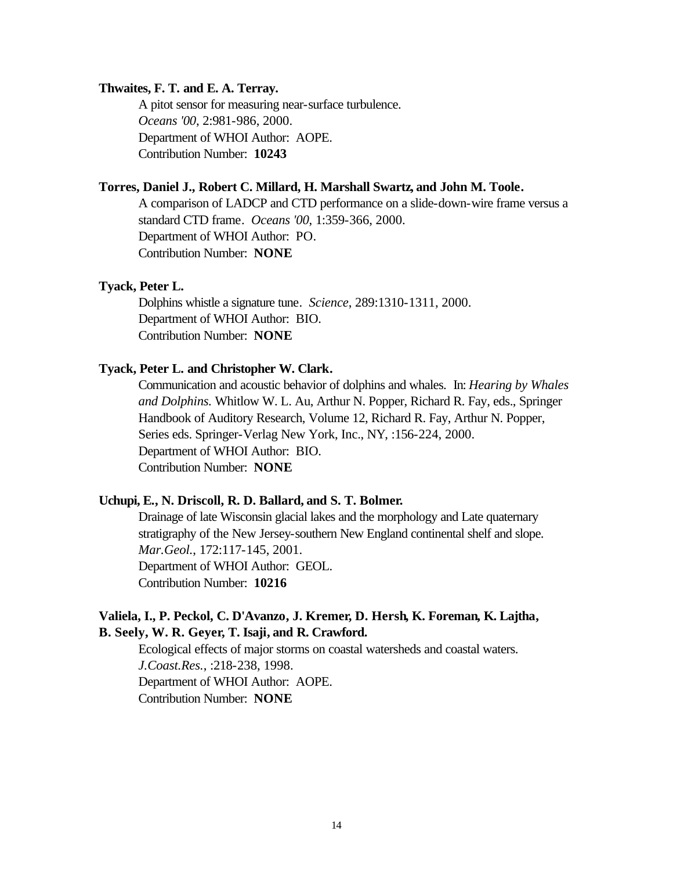## **Thwaites, F. T. and E. A. Terray.**

A pitot sensor for measuring near-surface turbulence. *Oceans '00*, 2:981-986, 2000. Department of WHOI Author: AOPE. Contribution Number: **10243**

## **Torres, Daniel J., Robert C. Millard, H. Marshall Swartz, and John M. Toole.**

A comparison of LADCP and CTD performance on a slide-down-wire frame versus a standard CTD frame. *Oceans '00*, 1:359-366, 2000. Department of WHOI Author: PO. Contribution Number: **NONE**

## **Tyack, Peter L.**

Dolphins whistle a signature tune. *Science*, 289:1310-1311, 2000. Department of WHOI Author: BIO. Contribution Number: **NONE**

## **Tyack, Peter L. and Christopher W. Clark.**

Communication and acoustic behavior of dolphins and whales. In: *Hearing by Whales and Dolphins.* Whitlow W. L. Au, Arthur N. Popper, Richard R. Fay, eds., Springer Handbook of Auditory Research, Volume 12, Richard R. Fay, Arthur N. Popper, Series eds. Springer-Verlag New York, Inc., NY, :156-224, 2000. Department of WHOI Author: BIO. Contribution Number: **NONE**

#### **Uchupi, E., N. Driscoll, R. D. Ballard, and S. T. Bolmer.**

Drainage of late Wisconsin glacial lakes and the morphology and Late quaternary stratigraphy of the New Jersey-southern New England continental shelf and slope. *Mar.Geol.*, 172:117-145, 2001. Department of WHOI Author: GEOL. Contribution Number: **10216**

## **Valiela, I., P. Peckol, C. D'Avanzo, J. Kremer, D. Hersh, K. Foreman, K. Lajtha, B. Seely, W. R. Geyer, T. Isaji, and R. Crawford.**

Ecological effects of major storms on coastal watersheds and coastal waters. *J.Coast.Res.*, :218-238, 1998. Department of WHOI Author: AOPE. Contribution Number: **NONE**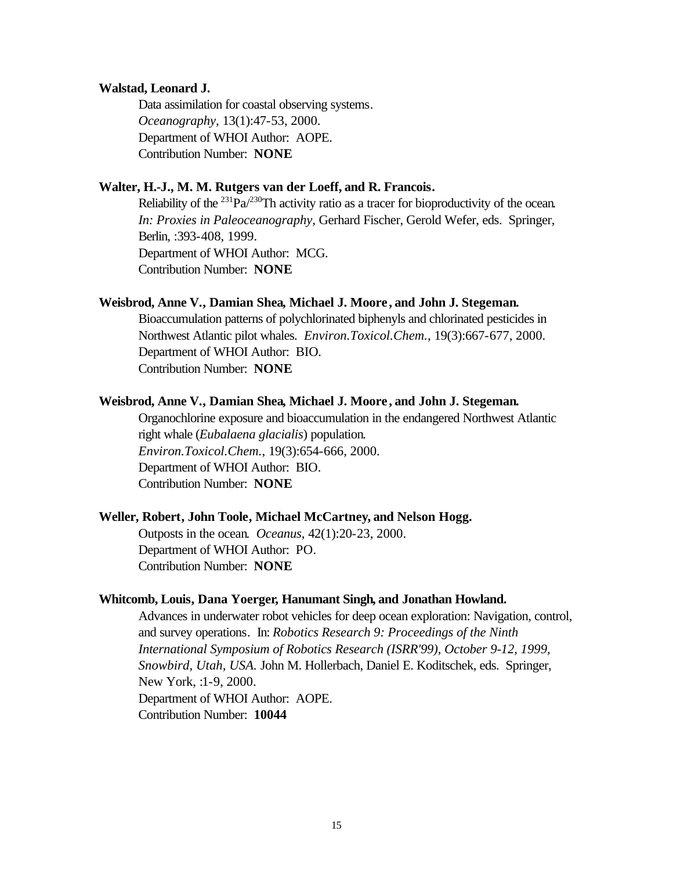#### **Walstad, Leonard J.**

Data assimilation for coastal observing systems. *Oceanography*, 13(1):47-53, 2000. Department of WHOI Author: AOPE. Contribution Number: **NONE**

## **Walter, H.-J., M. M. Rutgers van der Loeff, and R. Francois.**

Reliability of the <sup>231</sup>Pa<sup> $/230$ </sup>Th activity ratio as a tracer for bioproductivity of the ocean. *In: Proxies in Paleoceanography,* Gerhard Fischer, Gerold Wefer, eds. Springer, Berlin, :393-408, 1999. Department of WHOI Author: MCG. Contribution Number: **NONE**

## **Weisbrod, Anne V., Damian Shea, Michael J. Moore , and John J. Stegeman.**

Bioaccumulation patterns of polychlorinated biphenyls and chlorinated pesticides in Northwest Atlantic pilot whales. *Environ.Toxicol.Chem.*, 19(3):667-677, 2000. Department of WHOI Author: BIO. Contribution Number: **NONE**

## **Weisbrod, Anne V., Damian Shea, Michael J. Moore , and John J. Stegeman.**

Organochlorine exposure and bioaccumulation in the endangered Northwest Atlantic right whale (*Eubalaena glacialis*) population. *Environ.Toxicol.Chem.*, 19(3):654-666, 2000. Department of WHOI Author: BIO. Contribution Number: **NONE**

#### **Weller, Robert, John Toole, Michael McCartney, and Nelson Hogg.**

Outposts in the ocean. *Oceanus*, 42(1):20-23, 2000. Department of WHOI Author: PO. Contribution Number: **NONE**

## **Whitcomb, Louis, Dana Yoerger, Hanumant Singh, and Jonathan Howland.**

Advances in underwater robot vehicles for deep ocean exploration: Navigation, control, and survey operations. In: *Robotics Research 9: Proceedings of the Ninth International Symposium of Robotics Research (ISRR'99), October 9-12, 1999, Snowbird, Utah, USA.* John M. Hollerbach, Daniel E. Koditschek, eds. Springer, New York, :1-9, 2000. Department of WHOI Author: AOPE. Contribution Number: **10044**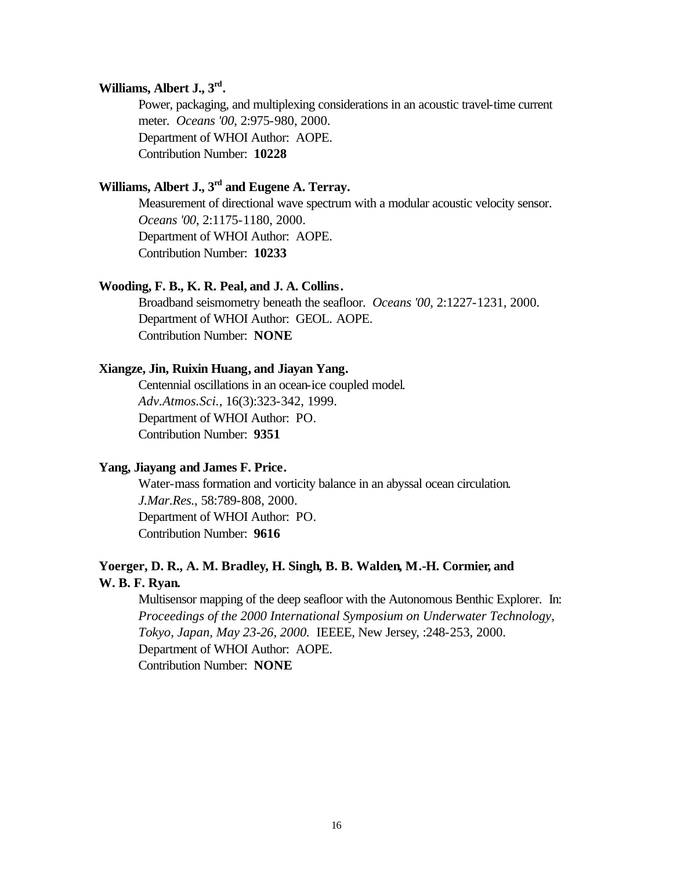## **Williams, Albert J., 3rd .**

Power, packaging, and multiplexing considerations in an acoustic travel-time current meter. *Oceans '00*, 2:975-980, 2000. Department of WHOI Author: AOPE. Contribution Number: **10228**

## **Williams, Albert J., 3rd and Eugene A. Terray.**

Measurement of directional wave spectrum with a modular acoustic velocity sensor. *Oceans '00*, 2:1175-1180, 2000. Department of WHOI Author: AOPE. Contribution Number: **10233**

## **Wooding, F. B., K. R. Peal, and J. A. Collins.**

Broadband seismometry beneath the seafloor. *Oceans '00*, 2:1227-1231, 2000. Department of WHOI Author: GEOL. AOPE. Contribution Number: **NONE**

## **Xiangze, Jin, Ruixin Huang, and Jiayan Yang.**

Centennial oscillations in an ocean-ice coupled model. *Adv.Atmos.Sci.*, 16(3):323-342, 1999. Department of WHOI Author: PO. Contribution Number: **9351**

## **Yang, Jiayang and James F. Price.**

Water-mass formation and vorticity balance in an abyssal ocean circulation. *J.Mar.Res.*, 58:789-808, 2000. Department of WHOI Author: PO. Contribution Number: **9616**

## **Yoerger, D. R., A. M. Bradley, H. Singh, B. B. Walden, M.-H. Cormier, and W. B. F. Ryan.**

Multisensor mapping of the deep seafloor with the Autonomous Benthic Explorer. In: *Proceedings of the 2000 International Symposium on Underwater Technology, Tokyo, Japan, May 23-26, 2000.* IEEEE, New Jersey, :248-253, 2000. Department of WHOI Author: AOPE. Contribution Number: **NONE**